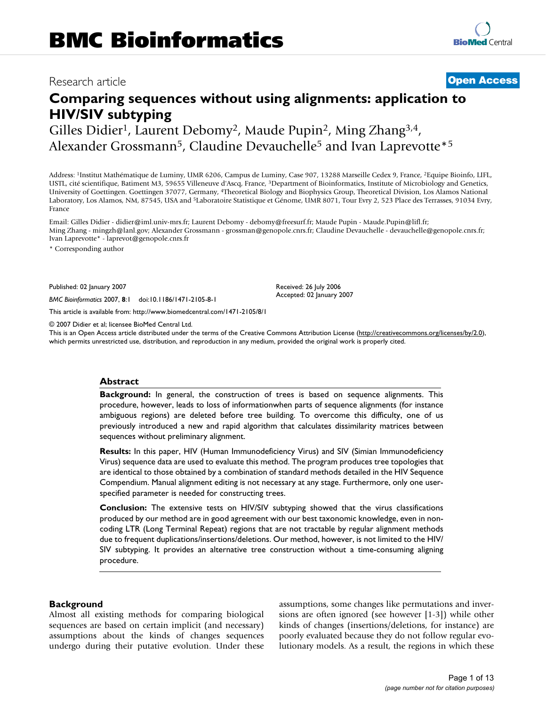## Research article **[Open Access](http://www.biomedcentral.com/info/about/charter/)**

# **Comparing sequences without using alignments: application to HIV/SIV subtyping**

Gilles Didier<sup>1</sup>, Laurent Debomy<sup>2</sup>, Maude Pupin<sup>2</sup>, Ming Zhang<sup>3,4</sup>, Alexander Grossmann<sup>5</sup>, Claudine Devauchelle<sup>5</sup> and Ivan Laprevotte<sup>\*5</sup>

Address: 1Institut Mathématique de Luminy, UMR 6206, Campus de Luminy, Case 907, 13288 Marseille Cedex 9, France, 2Equipe Bioinfo, LIFL, USTL, cité scientifique, Batiment M3, 59655 Villeneuve d'Ascq, France, 3Department of Bioinformatics, Institute of Microbiology and Genetics, University of Goettingen. Goettingen 37077, Germany, 4Theoretical Biology and Biophysics Group, Theoretical Division, Los Alamos National Laboratory, Los Alamos, NM, 87545, USA and 5Laboratoire Statistique et Génome, UMR 8071, Tour Evry 2, 523 Place des Terrasses, 91034 Evry, France

Email: Gilles Didier - didier@iml.univ-mrs.fr; Laurent Debomy - debomy@freesurf.fr; Maude Pupin - Maude.Pupin@lifl.fr; Ming Zhang - mingzh@lanl.gov; Alexander Grossmann - grossman@genopole.cnrs.fr; Claudine Devauchelle - devauchelle@genopole.cnrs.fr; Ivan Laprevotte\* - laprevot@genopole.cnrs.fr

\* Corresponding author

Published: 02 January 2007

*BMC Bioinformatics* 2007, **8**:1 doi:10.1186/1471-2105-8-1

[This article is available from: http://www.biomedcentral.com/1471-2105/8/1](http://www.biomedcentral.com/1471-2105/8/1)

© 2007 Didier et al; licensee BioMed Central Ltd.

This is an Open Access article distributed under the terms of the Creative Commons Attribution License [\(http://creativecommons.org/licenses/by/2.0\)](http://creativecommons.org/licenses/by/2.0), which permits unrestricted use, distribution, and reproduction in any medium, provided the original work is properly cited.

Received: 26 July 2006 Accepted: 02 January 2007

### **Abstract**

**Background:** In general, the construction of trees is based on sequence alignments. This procedure, however, leads to loss of informationwhen parts of sequence alignments (for instance ambiguous regions) are deleted before tree building. To overcome this difficulty, one of us previously introduced a new and rapid algorithm that calculates dissimilarity matrices between sequences without preliminary alignment.

**Results:** In this paper, HIV (Human Immunodeficiency Virus) and SIV (Simian Immunodeficiency Virus) sequence data are used to evaluate this method. The program produces tree topologies that are identical to those obtained by a combination of standard methods detailed in the HIV Sequence Compendium. Manual alignment editing is not necessary at any stage. Furthermore, only one userspecified parameter is needed for constructing trees.

**Conclusion:** The extensive tests on HIV/SIV subtyping showed that the virus classifications produced by our method are in good agreement with our best taxonomic knowledge, even in noncoding LTR (Long Terminal Repeat) regions that are not tractable by regular alignment methods due to frequent duplications/insertions/deletions. Our method, however, is not limited to the HIV/ SIV subtyping. It provides an alternative tree construction without a time-consuming aligning procedure.

### **Background**

Almost all existing methods for comparing biological sequences are based on certain implicit (and necessary) assumptions about the kinds of changes sequences undergo during their putative evolution. Under these assumptions, some changes like permutations and inversions are often ignored (see however [1-3]) while other kinds of changes (insertions/deletions, for instance) are poorly evaluated because they do not follow regular evolutionary models. As a result, the regions in which these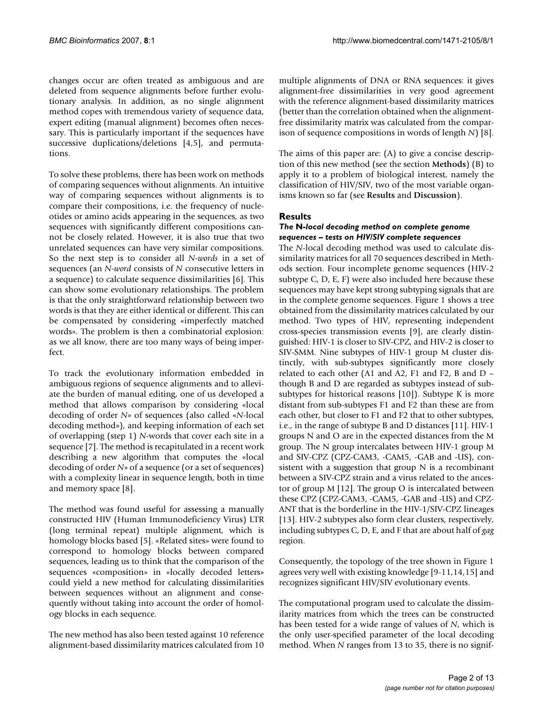changes occur are often treated as ambiguous and are deleted from sequence alignments before further evolutionary analysis. In addition, as no single alignment method copes with tremendous variety of sequence data, expert editing (manual alignment) becomes often necessary. This is particularly important if the sequences have successive duplications/deletions [4,5], and permutations.

To solve these problems, there has been work on methods of comparing sequences without alignments. An intuitive way of comparing sequences without alignments is to compare their compositions, i.e. the frequency of nucleotides or amino acids appearing in the sequences, as two sequences with significantly different compositions cannot be closely related. However, it is also true that two unrelated sequences can have very similar compositions. So the next step is to consider all *N-words* in a set of sequences (an *N-word* consists of *N* consecutive letters in a sequence) to calculate sequence dissimilarities [6]. This can show some evolutionary relationships. The problem is that the only straightforward relationship between two words is that they are either identical or different. This can be compensated by considering «imperfectly matched words». The problem is then a combinatorial explosion: as we all know, there are too many ways of being imperfect.

To track the evolutionary information embedded in ambiguous regions of sequence alignments and to alleviate the burden of manual editing, one of us developed a method that allows comparison by considering «local decoding of order *N*» of sequences (also called «*N*-local decoding method»), and keeping information of each set of overlapping (step 1) *N*-words that cover each site in a sequence [7]. The method is recapitulated in a recent work describing a new algorithm that computes the «local decoding of order *N*» of a sequence (or a set of sequences) with a complexity linear in sequence length, both in time and memory space [8].

The method was found useful for assessing a manually constructed HIV (Human Immunodeficiency Virus) LTR (long terminal repeat) multiple alignment, which is homology blocks based [5]. «Related sites» were found to correspond to homology blocks between compared sequences, leading us to think that the comparison of the sequences «composition» in «locally decoded letters» could yield a new method for calculating dissimilarities between sequences without an alignment and consequently without taking into account the order of homology blocks in each sequence.

The new method has also been tested against 10 reference alignment-based dissimilarity matrices calculated from 10

multiple alignments of DNA or RNA sequences: it gives alignment-free dissimilarities in very good agreement with the reference alignment-based dissimilarity matrices (better than the correlation obtained when the alignmentfree dissimilarity matrix was calculated from the comparison of sequence compositions in words of length *N*) [8].

The aims of this paper are: (A) to give a concise description of this new method (see the section **Methods**) (B) to apply it to a problem of biological interest, namely the classification of HIV/SIV, two of the most variable organisms known so far (see **Results** and **Discussion**).

### **Results**

### *The* **N***-local decoding method on complete genome sequences – tests on HIV/SIV complete sequences*

The *N*-local decoding method was used to calculate dissimilarity matrices for all 70 sequences described in Methods section. Four incomplete genome sequences (HIV-2 subtype C, D, E, F) were also included here because these sequences may have kept strong subtyping signals that are in the complete genome sequences. Figure 1 shows a tree obtained from the dissimilarity matrices calculated by our method. Two types of HIV, representing independent cross-species transmission events [9], are clearly distinguished: HIV-1 is closer to SIV-CPZ, and HIV-2 is closer to SIV-SMM. Nine subtypes of HIV-1 group M cluster distinctly, with sub-subtypes significantly more closely related to each other (A1 and A2, F1 and F2, B and D – though B and D are regarded as subtypes instead of subsubtypes for historical reasons [10]). Subtype K is more distant from sub-subtypes F1 and F2 than these are from each other, but closer to F1 and F2 that to other subtypes, i.e., in the range of subtype B and D distances [11]. HIV-1 groups N and O are in the expected distances from the M group. The N group intercalates between HIV-1 group M and SIV-CPZ (CPZ-CAM3, -CAM5, -GAB and -US), consistent with a suggestion that group N is a recombinant between a SIV-CPZ strain and a virus related to the ancestor of group M [12]. The group O is intercalated between these CPZ (CPZ-CAM3, -CAM5, -GAB and -US) and CPZ-ANT that is the borderline in the HIV-1/SIV-CPZ lineages [13]. HIV-2 subtypes also form clear clusters, respectively, including subtypes C, D, E, and F that are about half of *gag* region.

Consequently, the topology of the tree shown in Figure 1 agrees very well with existing knowledge [9-11,14,15] and recognizes significant HIV/SIV evolutionary events.

The computational program used to calculate the dissimilarity matrices from which the trees can be constructed has been tested for a wide range of values of *N*, which is the only user-specified parameter of the local decoding method. When *N* ranges from 13 to 35, there is no signif-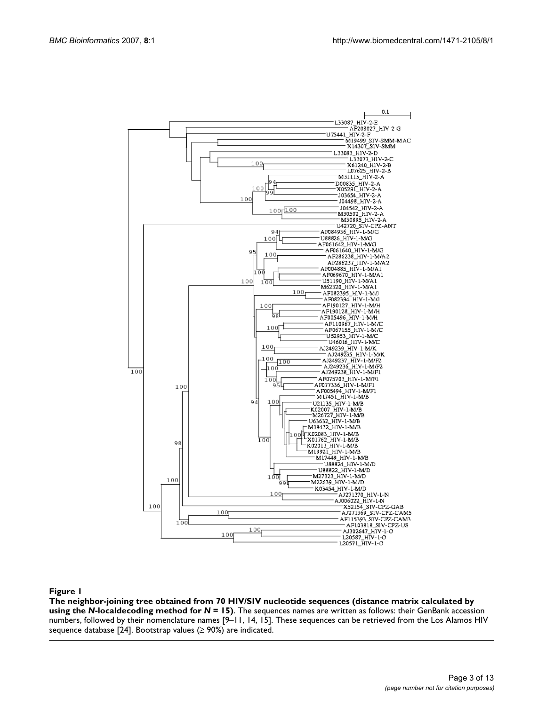

### **Figure 1** coding method for The neighbor-joining tree obtained from 70 HIV/SIV nucleot *N* = 15) ide sequences (distance matrix calculated by using the *N*-localde-

**The neighbor-joining tree obtained from 70 HIV/SIV nucleotide sequences (distance matrix calculated by using the** *N***-localdecoding method for** *N* **= 15)**. The sequences names are written as follows: their GenBank accession numbers, followed by their nomenclature names [9–11, 14, 15]. These sequences can be retrieved from the Los Alamos HIV sequence database [24]. Bootstrap values ( $\geq$  90%) are indicated.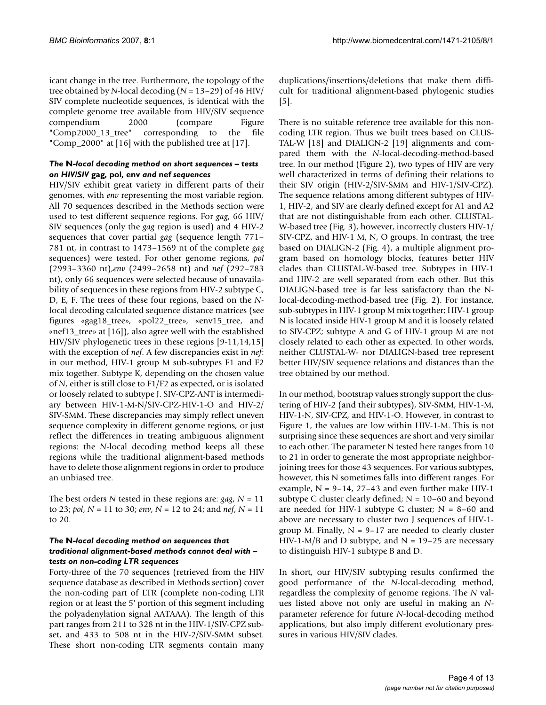icant change in the tree. Furthermore, the topology of the tree obtained by *N*-local decoding (*N* = 13–29) of 46 HIV/ SIV complete nucleotide sequences, is identical with the complete genome tree available from HIV/SIV sequence compendium 2000 (compare Figure "Comp2000\_13\_tree" corresponding to the file "Comp\_2000" at [16] with the published tree at [17].

### *The* **N***-local decoding method on short sequences – tests on HIV/SIV* **gag***,* **pol***,* **env** *and* **nef** *sequences*

HIV/SIV exhibit great variety in different parts of their genomes, with *env* representing the most variable region. All 70 sequences described in the Methods section were used to test different sequence regions. For *gag*, 66 HIV/ SIV sequences (only the *gag* region is used) and 4 HIV-2 sequences that cover partial *gag* (sequence length 771– 781 nt, in contrast to 1473–1569 nt of the complete *gag* sequences) were tested. For other genome regions, *pol* (2993–3360 nt),*env* (2499–2658 nt) and *nef* (292–783 nt), only 66 sequences were selected because of unavailability of sequences in these regions from HIV-2 subtype C, D, E, F. The trees of these four regions, based on the *N*local decoding calculated sequence distance matrices (see figures «gag18\_tree», «pol22\_tree», «env15\_tree, and «nef13\_tree» at [16]), also agree well with the established HIV/SIV phylogenetic trees in these regions [9-11,14,15] with the exception of *nef*. A few discrepancies exist in *nef*: in our method, HIV-1 group M sub-subtypes F1 and F2 mix together. Subtype K, depending on the chosen value of *N*, either is still close to F1/F2 as expected, or is isolated or loosely related to subtype J. SIV-CPZ-ANT is intermediary between HIV-1-M-N/SIV-CPZ-HIV-1-O and HIV-2/ SIV-SMM. These discrepancies may simply reflect uneven sequence complexity in different genome regions, or just reflect the differences in treating ambiguous alignment regions: the *N*-local decoding method keeps all these regions while the traditional alignment-based methods have to delete those alignment regions in order to produce an unbiased tree.

The best orders *N* tested in these regions are: *gag*, *N* = 11 to 23; *pol*, *N* = 11 to 30; *env*, *N* = 12 to 24; and *nef*, *N* = 11 to 20.

### *The* **N***-local decoding method on sequences that traditional alignment-based methods cannot deal with – tests on non-coding LTR sequences*

Forty-three of the 70 sequences (retrieved from the HIV sequence database as described in Methods section) cover the non-coding part of LTR (complete non-coding LTR region or at least the 5' portion of this segment including the polyadenylation signal AATAAA). The length of this part ranges from 211 to 328 nt in the HIV-1/SIV-CPZ subset, and 433 to 508 nt in the HIV-2/SIV-SMM subset. These short non-coding LTR segments contain many

duplications/insertions/deletions that make them difficult for traditional alignment-based phylogenic studies [5].

There is no suitable reference tree available for this noncoding LTR region. Thus we built trees based on CLUS-TAL-W [18] and DIALIGN-2 [19] alignments and compared them with the *N*-local-decoding-method-based tree. In our method (Figure 2), two types of HIV are very well characterized in terms of defining their relations to their SIV origin (HIV-2/SIV-SMM and HIV-1/SIV-CPZ). The sequence relations among different subtypes of HIV-1, HIV-2, and SIV are clearly defined except for A1 and A2 that are not distinguishable from each other. CLUSTAL-W-based tree (Fig. 3), however, incorrectly clusters HIV-1/ SIV-CPZ, and HIV-1 M, N, O groups. In contrast, the tree based on DIALIGN-2 (Fig. 4), a multiple alignment program based on homology blocks, features better HIV clades than CLUSTAL-W-based tree. Subtypes in HIV-1 and HIV-2 are well separated from each other. But this DIALIGN-based tree is far less satisfactory than the Nlocal-decoding-method-based tree (Fig. 2). For instance, sub-subtypes in HIV-1 group M mix together; HIV-1 group N is located inside HIV-1 group M and it is loosely related to SIV-CPZ; subtype A and G of HIV-1 group M are not closely related to each other as expected. In other words, neither CLUSTAL-W- nor DIALIGN-based tree represent better HIV/SIV sequence relations and distances than the tree obtained by our method.

In our method, bootstrap values strongly support the clustering of HIV-2 (and their subtypes), SIV-SMM, HIV-1-M, HIV-1-N, SIV-CPZ, and HIV-1-O. However, in contrast to Figure 1, the values are low within HIV-1-M. This is not surprising since these sequences are short and very similar to each other. The parameter N tested here ranges from 10 to 21 in order to generate the most appropriate neighborjoining trees for those 43 sequences. For various subtypes, however, this N sometimes falls into different ranges. For example,  $N = 9-14$ , 27-43 and even further make HIV-1 subtype C cluster clearly defined;  $N = 10-60$  and beyond are needed for HIV-1 subtype G cluster;  $N = 8-60$  and above are necessary to cluster two J sequences of HIV-1 group M. Finally,  $N = 9-17$  are needed to clearly cluster HIV-1-M/B and D subtype, and  $N = 19-25$  are necessary to distinguish HIV-1 subtype B and D.

In short, our HIV/SIV subtyping results confirmed the good performance of the *N*-local-decoding method, regardless the complexity of genome regions. The *N* values listed above not only are useful in making an *N*parameter reference for future *N*-local-decoding method applications, but also imply different evolutionary pressures in various HIV/SIV clades.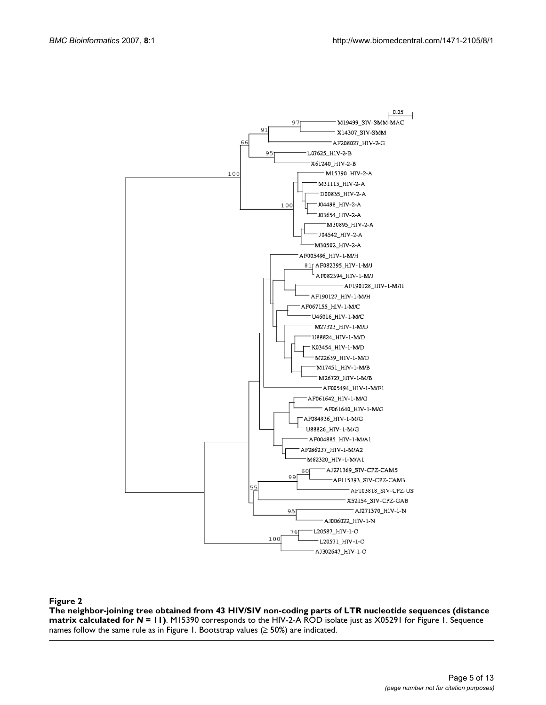

### The neighbor-joining tree obtained from 43 for **Figure 2** *N* = 11) HIV/SIV non-coding parts of LTR nucleotide sequences (distance matrix calculated

**The neighbor-joining tree obtained from 43 HIV/SIV non-coding parts of LTR nucleotide sequences (distance matrix calculated for** *N* **= 11)**. M15390 corresponds to the HIV-2-A ROD isolate just as X05291 for Figure 1. Sequence names follow the same rule as in Figure 1. Bootstrap values  $(≥ 50%)$  are indicated.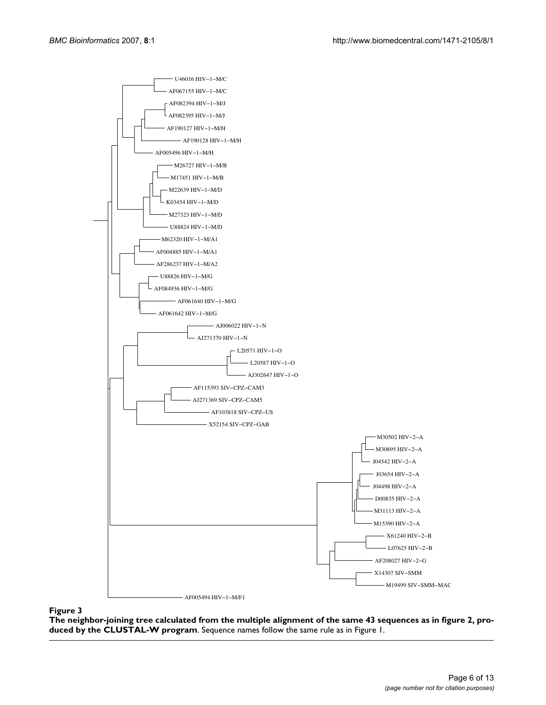

**The neighbor-joining tree calculated from the multiple alignment of the same 43 sequences as in figure 2, produced by the CLUSTAL-W program**. Sequence names follow the same rule as in Figure 1.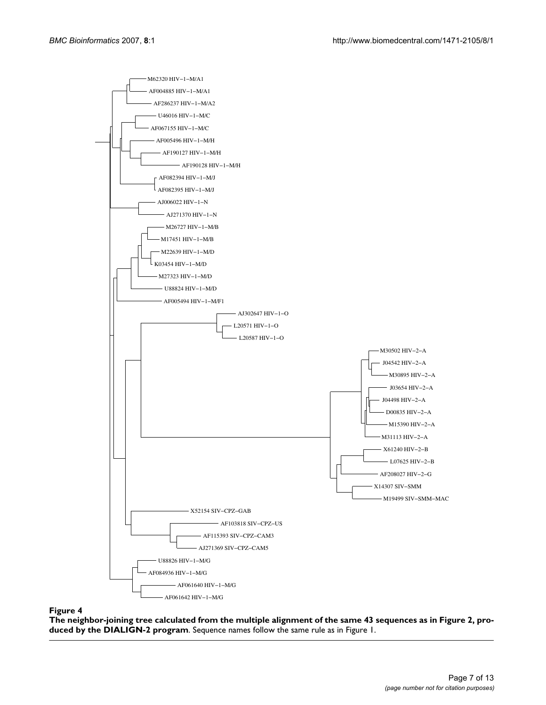

**The neighbor-joining tree calculated from the multiple alignment of the same 43 sequences as in Figure 2, produced by the DIALIGN-2 program**. Sequence names follow the same rule as in Figure 1.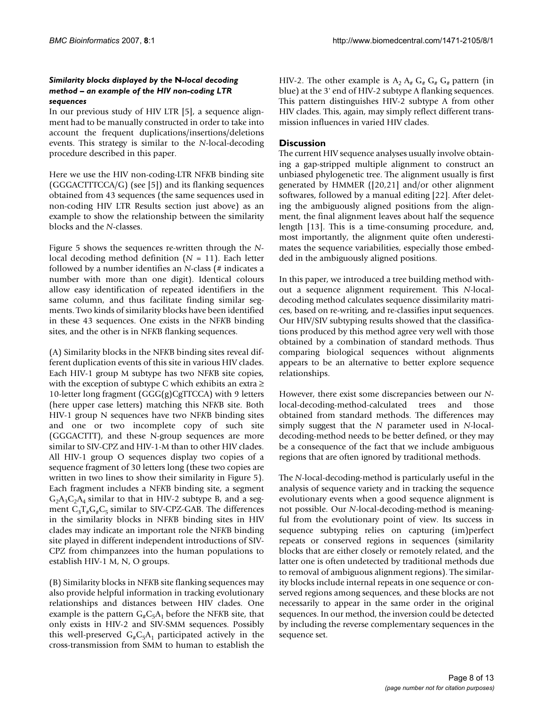### *Similarity blocks displayed by the* **N***-local decoding method – an example of the HIV non-coding LTR sequences*

In our previous study of HIV LTR [5], a sequence alignment had to be manually constructed in order to take into account the frequent duplications/insertions/deletions events. This strategy is similar to the *N*-local-decoding procedure described in this paper.

Here we use the HIV non-coding-LTR NF*K*B binding site (GGGACTTTCCA/G) (see [5]) and its flanking sequences obtained from 43 sequences (the same sequences used in non-coding HIV LTR Results section just above) as an example to show the relationship between the similarity blocks and the *N*-classes.

Figure 5 shows the sequences re-written through the *N*local decoding method definition (*N* = 11). Each letter followed by a number identifies an *N*-class (# indicates a number with more than one digit). Identical colours allow easy identification of repeated identifiers in the same column, and thus facilitate finding similar segments. Two kinds of similarity blocks have been identified in these 43 sequences. One exists in the NF*K*B binding sites, and the other is in NF*K*B flanking sequences.

(A) Similarity blocks in the NF*K*B binding sites reveal different duplication events of this site in various HIV clades. Each HIV-1 group M subtype has two NF*K*B site copies, with the exception of subtype C which exhibits an extra ≥ 10-letter long fragment (GGG(g)CgTTCCA) with 9 letters (here upper case letters) matching this NF*K*B site. Both HIV-1 group N sequences have two NF*K*B binding sites and one or two incomplete copy of such site (GGGACTTT), and these N-group sequences are more similar to SIV-CPZ and HIV-1-M than to other HIV clades. All HIV-1 group O sequences display two copies of a sequence fragment of 30 letters long (these two copies are written in two lines to show their similarity in Figure 5). Each fragment includes a NF*K*B binding site, a segment  $G_2A_3C_2A_4$  similar to that in HIV-2 subtype B, and a segment  $C_3T_*G_*C_5$  similar to SIV-CPZ-GAB. The differences in the similarity blocks in NF*K*B binding sites in HIV clades may indicate an important role the NF*K*B binding site played in different independent introductions of SIV-CPZ from chimpanzees into the human populations to establish HIV-1 M, N, O groups.

(B) Similarity blocks in NF*K*B site flanking sequences may also provide helpful information in tracking evolutionary relationships and distances between HIV clades. One example is the pattern  $G_{\mu}C_{5}A_{1}$  before the NF*KB* site, that only exists in HIV-2 and SIV-SMM sequences. Possibly this well-preserved  $G_{\mu}C_5A_1$  participated actively in the cross-transmission from SMM to human to establish the

HIV-2. The other example is  $A_2 A_* G_* G_* G_*$  pattern (in blue) at the 3' end of HIV-2 subtype A flanking sequences. This pattern distinguishes HIV-2 subtype A from other HIV clades. This, again, may simply reflect different transmission influences in varied HIV clades.

### **Discussion**

The current HIV sequence analyses usually involve obtaining a gap-stripped multiple alignment to construct an unbiased phylogenetic tree. The alignment usually is first generated by HMMER ([20,21] and/or other alignment softwares, followed by a manual editing [22]. After deleting the ambiguously aligned positions from the alignment, the final alignment leaves about half the sequence length [13]. This is a time-consuming procedure, and, most importantly, the alignment quite often underestimates the sequence variabilities, especially those embedded in the ambiguously aligned positions.

In this paper, we introduced a tree building method without a sequence alignment requirement. This *N*-localdecoding method calculates sequence dissimilarity matrices, based on re-writing, and re-classifies input sequences. Our HIV/SIV subtyping results showed that the classifications produced by this method agree very well with those obtained by a combination of standard methods. Thus comparing biological sequences without alignments appears to be an alternative to better explore sequence relationships.

However, there exist some discrepancies between our *N*local-decoding-method-calculated trees and those obtained from standard methods. The differences may simply suggest that the *N* parameter used in *N*-localdecoding-method needs to be better defined, or they may be a consequence of the fact that we include ambiguous regions that are often ignored by traditional methods.

The *N*-local-decoding-method is particularly useful in the analysis of sequence variety and in tracking the sequence evolutionary events when a good sequence alignment is not possible. Our *N*-local-decoding-method is meaningful from the evolutionary point of view. Its success in sequence subtyping relies on capturing (im)perfect repeats or conserved regions in sequences (similarity blocks that are either closely or remotely related, and the latter one is often undetected by traditional methods due to removal of ambiguous alignment regions). The similarity blocks include internal repeats in one sequence or conserved regions among sequences, and these blocks are not necessarily to appear in the same order in the original sequences. In our method, the inversion could be detected by including the reverse complementary sequences in the sequence set.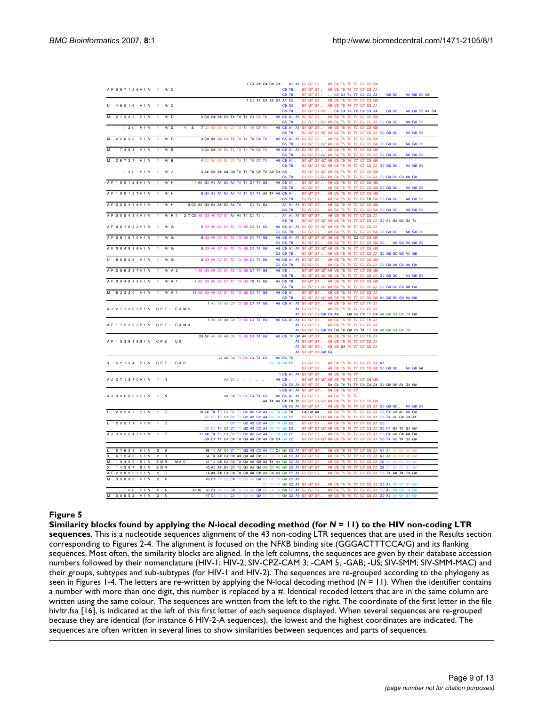|                             |                                    |                                                                                                        |    |                                  |                                      | 1 C# A# C# G# G# . A1 A1 G7 G7 G7 . A9 C6 T5 T6 T7 C7 C5 G0            |           |                |
|-----------------------------|------------------------------------|--------------------------------------------------------------------------------------------------------|----|----------------------------------|--------------------------------------|------------------------------------------------------------------------|-----------|----------------|
| AF067155HIV 1 M/C           |                                    |                                                                                                        |    |                                  |                                      | C5 T8 G7 G7 G7 A9 C6 T5 T6 T7 C7 C5 A1                                 |           |                |
|                             |                                    |                                                                                                        |    | C5 T8                            | G7 G7 G7                             | C# G# T# T# C# C# A#                                                   | $GO$ $GO$ | A# G8 G9 G#    |
|                             |                                    |                                                                                                        |    |                                  |                                      | 1 C# A# C# A# G# A# C5 . G7 G7 G7 . A9 C6 T5 T6 T7 C7 C5 G0            |           |                |
| 4 6 0 1 6 H I V 1 M/C       |                                    |                                                                                                        |    |                                  |                                      | C5 C5 G7 G7 G7 A9 C6 T5 T6 T7 C7 C5 A1                                 |           |                |
|                             |                                    |                                                                                                        |    | C5 T8.                           |                                      | G7 G7 G7 G7 . C# G# T# T# C# C# A# .                                   | GO GO.    | A# G8 G9 A# G# |
| 27323 HIV                   | $\blacksquare$<br>M/D              | 4 C# G# A# G# T# T# T# C# C# T# .                                                                      |    |                                  |                                      | A8 C5 A1 A1 G7 G7 G7 A9 C6 T5 T6 T7 C7 C5 G0                           |           |                |
|                             |                                    |                                                                                                        |    |                                  |                                      | C5 T8 . G7 G7 G7 G7 A9 C6 T5 T6 T7 C7 C5 A1 G0 G0 G0 .                 |           | A# G8 G9       |
| (2)<br>HIV                  | $\overline{1}$<br>M/D<br>4 &       | 7 C# G# A# G# C# T# T# T# C# T# .                                                                      |    |                                  |                                      | A8 C5 A1 A1 G7 G7 G7 A9 C6 T5 T6 T7 C7 C5 G0                           |           |                |
|                             |                                    |                                                                                                        |    |                                  |                                      | C5 T8 . G7 G7 G7 G7 A9 C6 T5 T6 T7 C7 C5 A1 G0 G0 G0 .                 |           | A# G8 G9       |
| 2 2 6 3 9<br>$H \cup V$     | M/D<br>$\overline{1}$              | 4 C# A# A# G# T# T# T# T# C# T#                                                                        |    |                                  |                                      | A8 C5 A1 A1 G7 G7 G7 . A9 C6 T5 T6 T7 C7 C5 G0                         |           |                |
|                             |                                    |                                                                                                        |    |                                  |                                      | C5 T8 . G7 G7 G7 G7 A9 C8 T5 T6 T7 C7 C5 G0 G0 G0 G0                   |           | A# G8 G9       |
| 17451<br>HIV                | M/B<br>$\mathbf{1}$                | 4 C# G# A# G# T# T# T# T# C# T# .                                                                      |    |                                  |                                      | A8 C5 A1 A1 G7 G7 G7 . A9 C6 T5 T6 T7 C7 C5 G0                         |           |                |
|                             |                                    |                                                                                                        |    | $CS$ TR $\overline{\phantom{a}}$ |                                      | G7 G7 G7 G7 A9 C6 T5 T6 T7 C7 C5 A1 G0 G0 G0                           |           | A# G8 G9       |
| 26727 HIV                   | 1<br>M/B                           | 4 C# G# A# G# C# T# T# T# C# T#                                                                        |    | A8 C5 A1 .                       |                                      | G7 G7 G7 G7 A9 C6 T5 T6 T7 C7 C5 G0                                    |           |                |
|                             |                                    |                                                                                                        |    | C5 T8.                           |                                      | G7 G7 G7 G7 A9 C6 T5 T6 T7 C7 C5 A1 G0 G0 G0                           |           | A# G8 G9       |
| (2)<br>HIV                  | $M/J$ .<br>$\blacksquare$          | 4 A# G# A# A# G# T# T# T# C# T# A# G# C5                                                               |    |                                  |                                      | G7 G7 G7 G7 A9 C6 T5 T6 T7 C7 C5 G0                                    |           |                |
|                             |                                    |                                                                                                        |    | C5 T8.                           |                                      | G7 G7 G7 G7 A9 C6 T5 T6 T7 C7 C5 A1 G0 G0 G0 G0 A# G8                  |           |                |
| AF190128HIV                 | $1$ M/H                            | 4 A# G# A# A# G# A# T# T# C4 T4 G6 A8 C5 A1 G7 G7 G7 . A9 C6 T5 T6 T7 C7 C5 G0                         |    |                                  |                                      |                                                                        |           |                |
|                             |                                    |                                                                                                        |    | C5 T8.                           | G7 G7 G7.                            | A9 C6 T5 T6 T7 C7 C5 G0 G0 G0 G0 .                                     |           | A# G8 G9       |
| A F 1 9 0 1 2 7 H I V       | M/H<br>$\overline{1}$              | 5 G# A# A# G# A# T# T# C4 T4 A# T# A8 C5 A1 . G7 G7 G7 . A9 C6 T5 T6 T7 C7 C5 G0                       |    |                                  |                                      |                                                                        |           |                |
|                             |                                    |                                                                                                        |    | C5 T8                            | G7 G7 G7                             | A9 C6 T5 T6 T7 C7 T# G0 G0 G0 G0                                       |           | A# G8 G9       |
| A F 0 0 5 4 9 6 H I V       | M/H<br>$\mathbf{1}$                | 3 C# A# G# A# A# G# A# T# . C# T# G# .                                                                 |    |                                  | A# A1 A1 G7 G7 G7                    | A9 C6 T5 T6 T7 C7 C5 G0                                                |           |                |
|                             |                                    |                                                                                                        |    | C5 T8.                           | G7 G7 G7.                            | A9 C6 T5 T6 T7 C7 C5 G0 G0 G0 G0 .                                     |           | A# G8 G9       |
| A F 0 0 5 4 9 4 H I V       | $\mathbf{1}$<br>$M/F$ 1            | 2 7 C3 A5 G3 A6 A7 G4 A# A# T# C# T#.                                                                  |    |                                  |                                      | A# A1 A1 G7 G7 G7. A9 C6 T5 T6 T7 C7 C5 A1                             |           |                |
|                             |                                    |                                                                                                        |    | C5 T8                            |                                      | G7 G7 G7 G7 A9 C6 T5 T6 T7 C7 C5 A1 G0 A2 G# G# G# T#                  |           |                |
| A F 0 6 1 6 4 2 H I V       | $\overline{1}$<br>M/G              | 5 G3 A6 A7 G4 T2 T3 G5 C4 T4 G6.                                                                       |    |                                  |                                      | A8 C5 A1 A1 G7 G7 G7 G7 A9 C6 T5 T6 T7 C7 C5 A1                        |           |                |
|                             |                                    |                                                                                                        |    |                                  |                                      | C5 C5 T8 . G7 G7 G7 . A9 C6 T5 T6 T7 C7 C5 G0 G0 G0 G0 .               |           | A# G8 G9       |
| A F 0 6 1 6 4 0 H I V       | $\overline{1}$<br>M/G              | 5 G3 A6 A7 G4 T2 T3 G5 C4 T4 G6.                                                                       |    |                                  |                                      | A8 C5 A1 A1 G7 G7 G7 G7 A9 C6 T5 T6 C# C7 C5 G0                        |           |                |
|                             |                                    |                                                                                                        |    |                                  |                                      |                                                                        |           | A# G0 A# G8 G9 |
| A F 0 8 4 9 3 6 H I V       | M/G<br>$\overline{1}$              | 5 G3 A6 A7 G4 T2 T3 G5 C4 T4 G6                                                                        |    |                                  |                                      | A8 C5 A1 A1 G7 G7 G7 G7 A9 C6 T5 T6 T7 C7 C5 G0                        |           |                |
|                             |                                    |                                                                                                        |    |                                  |                                      |                                                                        |           |                |
| 88826 HIV                   | M/G<br>$\overline{1}$              | 5 G3 A6 A7 G4 T2 T3 G5 C4 T4 G6.                                                                       |    |                                  |                                      | A8 C5 A1 A1 G7 G7 G7 . A9 C6 T5 T6 T7 C7 C5 G0                         |           |                |
|                             |                                    |                                                                                                        |    |                                  |                                      | C5 C5 T8    G7 G7 G7    A9 C6 T5 T6 T7 C7 C5 A1 G0 G0 A# G0 A# G8      |           |                |
| AF286237HIV                 | M/A <sub>2</sub><br>$\overline{1}$ | 4 A5 G3 A6 A7 G4 T2 T3 G5 C4 T4 G6                                                                     |    |                                  |                                      | A8 C5 G7 G7 G7 G7 A9 C6 T5 T6 T7 C7 C5 G0                              |           |                |
|                             |                                    |                                                                                                        |    |                                  |                                      | C5 T8 G7 G7 G7 G7 A9 C6 T5 T6 T7 C7 C5 A1 G0 G0 G0 A# G8 G9            |           |                |
| A F 0 0 4 8 8 5 H I V       | $M/A$ 1<br>$\overline{1}$          | 4 A5 G3 A6 A7 G4 T2 T3 G5 T# T# G#.                                                                    |    |                                  |                                      |                                                                        |           |                |
|                             |                                    |                                                                                                        |    | C5 T8.                           |                                      | G7 G7 G7 G7 A9 C6 T5 T6 T7 C7 C5 A1 G0 G0 G0 G0 A# G8                  |           |                |
| 62320 HIV                   | $M/A$ 1<br>$\mathbf{1}$            | 15 A5 G3 A6 A7 G4 T2 T3 G5 C4 T4 G6.                                                                   |    |                                  |                                      | A8 C5 A1 G7 G7 G7 . A9 C6 T5 T6 T7 C7 C5 A1                            |           |                |
|                             |                                    |                                                                                                        |    | C5 T8 .                          |                                      | G7 G7 G7 G7 A9 C6 T5 T6 T7 C7 C5 G0 A1 G0 G0 G0 A# G8                  |           |                |
|                             |                                    | 1 A# A# A# C# T3 G5 C4 T4 G6 . A8 C5 A1 A1 G7 G7 G7 . A9 C6 T5 T6 T7 C7 T# A1                          |    |                                  |                                      |                                                                        |           |                |
| A J 2 7 1 3 6 9 S I V C P Z | CAM <sub>5</sub>                   |                                                                                                        |    |                                  |                                      | A1 G7 G7 G7 . A9 C6 T5 T6 T7 C7 C5 A1                                  |           |                |
|                             |                                    |                                                                                                        |    |                                  | A1 G7 G7 G7 G# G# A#.                | G# G# C# T# C# A# G# G# G# C# G#                                       |           |                |
|                             |                                    | 1 A# A# A# C# T3 G5 C4 T4 G6.                                                                          |    |                                  | A8 C5 A1 A1 G7 G7 G7.                | A9 C6 T5 T6 T7 C7 T# A1                                                |           |                |
| A F 1 1 5 3 9 3 S I V C P Z | CAM3                               |                                                                                                        |    |                                  |                                      | A1 G7 G7 G7 A9 C6 T5 T6 T7 C7 C5 A1                                    |           |                |
|                             |                                    |                                                                                                        |    |                                  |                                      | A1 G7 G7 G7 G# G# G# T# G# G# T# T# C# A# G# G# G# C#                  |           |                |
|                             |                                    | 25 A# A# A# A# C# T3 G5 C4 T4 G6. A8 C5 T# G# A# G7 G7.                                                |    |                                  |                                      | A9 C6 T5 T6 T7 C7 T# A1                                                |           |                |
| A F 1 0 3 8 1 8 S I V C P Z | 11S                                |                                                                                                        |    |                                  |                                      | A1 G7 G7 G7 . A9 C6 T5 T6 T7 C7 C5 A1                                  |           |                |
|                             |                                    |                                                                                                        |    |                                  |                                      | A1 G7 G7 G7 . A9 C6 G# T6 T7 C7 C5 A1                                  |           |                |
|                             |                                    |                                                                                                        |    |                                  | A1 G7 G7 G7 G# G#                    |                                                                        |           |                |
|                             |                                    | 27 A# C# T3 G5 C4 T4 G6. A8 C5 T#                                                                      |    |                                  |                                      |                                                                        |           |                |
| 52154 SIV CPZ               | <b>GAB</b>                         |                                                                                                        |    |                                  |                                      | C3 T# G# C5 . G7 G7 G7 . A9 C6 T5 T6 T7 C7 C5 A1 A1                    |           |                |
|                             |                                    |                                                                                                        |    |                                  |                                      | G7 G7 G7 . A9 C6 T5 T6 T7 C7 C5 G0 G0 G0 G0 .                          |           | $A#$ G8 $A#$   |
|                             |                                    |                                                                                                        |    |                                  | 1 C5 A1 A1 G7 G7 G7 A9 C6 T5 T6 T7   |                                                                        |           |                |
| A J 2 7 1 3 7 0 H I V 1 N   |                                    | A# C# A8 C5 G7 G7 G7 G7 A9 C6 T5 T6 T7 C7 C5 G0                                                        |    |                                  |                                      |                                                                        |           |                |
|                             |                                    |                                                                                                        |    |                                  |                                      | C5 C5 A1 G7 G7 G7 . G# C# T# T# T# C# C# A# G# G# A# A# G# G#          |           |                |
|                             |                                    |                                                                                                        |    |                                  | 1 C5 A1 A1 G7 G7 G7 . A9 C6 T5 T6 T7 |                                                                        |           |                |
| A J 0 0 6 0 2 2 H I V 1 N   |                                    | A# C# T3 G5 C4 T4 G6. A8 C5 A1 A1 G7 G7 G7. A9 C6 T5 T6 T7                                             |    |                                  |                                      |                                                                        |           |                |
|                             |                                    |                                                                                                        |    |                                  |                                      | A# T# A# C# T# T8 G7 G7 G7 G7 A9 C6 T5 T6 T7 C7 C5 G0                  |           |                |
|                             |                                    |                                                                                                        |    |                                  |                                      | C5 C5 A1 G7 G7 G7 A9 C6 T5 T6 T7 C7 C5 A1 G0 G0 G0.                    |           | A# G8 G9       |
| 20587 HIV                   | $\overline{1}$<br>$\Omega$         | 18 A# T# T0 G1 C1 T1 G2 A3 C2 A4 C3 T# G# T# . G# G# A# . A9 C6 T5 T6 T7 C7 C5 A1 G0 C# A# A0 A# G0    |    |                                  |                                      |                                                                        |           |                |
|                             |                                    | A2 C0 T0 G1 C1 T1 G2 A3 C2 A4 C3 T# G# C5.                                                             |    |                                  |                                      | G7 G7 G7 G7 A9 C6 T5 T6 T7 C7 C5 A1 G0 T# G0 G# G# A#                  |           |                |
| 20571 HIV 1 O               |                                    |                                                                                                        |    |                                  |                                      | 1 C1 T1 G2 A3 C2 A4 C3 T# G# C5 G7 G7 G7 G7 A9 C6 T5 T6 T7 C7 C5 A1 G0 |           |                |
|                             |                                    | A2 C0 T0 G1 C1 T1 G2 A3 C2 A4 C3 T# G# C5.                                                             |    |                                  |                                      | G7 G7 G7 G7 A9 C6 T5 T6 T7 C7 C5 A1 G0 C# G# T# G# G#                  |           |                |
| A J 3 0 2 6 4 7 H I V 1 O   |                                    | 17 A# T# T0 G1 C1 T1 G2 A3 C2 A4 C3 T# G# C5                                                           |    |                                  |                                      | G7 G7 G7 . A9 C6 T5 T6 T7 C7 C5 A1 G0 C# A# G# A# G#                   |           |                |
|                             |                                    | G# C# T# G# C# T# G# A# C# A# C# G# G# C5 .                                                            |    |                                  |                                      | G7 G7 G7 G7 A9 C6 T5 T6 T7 C7 C5 A1 G0 T# G0 T# G0 G#                  |           |                |
|                             |                                    |                                                                                                        |    |                                  |                                      |                                                                        |           |                |
| 07625 HIV                   | 2 B                                | 93 T# A# G1 C1 T1 G2 A3 C2 A4 C3 C# G# C5 A1 G7 G7 G7 . A9 C6 T5 T6 T7 C7 C5 A1 A1 A# A# G# A# G#      |    |                                  |                                      |                                                                        |           |                |
| 61240 HIV<br>х              | 2 B                                | 54 T# A# G# C# A# G# A# C# A# C# T# G# C5 A1 G7 G7 G7.                                                 |    |                                  |                                      | A9 C6 T5 T6 T7 C7 C5 A1 A1 A# A# G# A# G#                              |           |                |
| M<br>19499<br>S V           | <b>SMM</b><br>MAC                  | 41 T# C# G# C# T# G# A# G# A# T# A# G# C5 A1 G7 G7 G7.                                                 |    |                                  |                                      | A9 C6 T5 T6 T7 C7 C5 A1 C5 A#                                          |           |                |
| 14307<br>S V                | <b>SMM</b>                         | 40 A# A# G# C# T# G# A# G# A# C# A# G# C5 A1 G7 G7 G7.                                                 |    |                                  |                                      | A9 C6 T5 T6 T7 C7 C5 A1 C5 A#                                          |           |                |
| A F 2 0 8 0 2 7 H I V       | 2 G                                | 14 A# A# G# C# T# G# A# C# A# C# A# G# C5 A1 G7 G7 G7.                                                 |    |                                  |                                      | A9 C6 T5 T6 T7 C7 C5 A1 G0 T# A# T# G# G#                              |           |                |
| 30895<br>HI V               | $\overline{2}$<br>$\mathbf{A}$     | 49 C# A# G# C# T# G# A# G# G7 C# T# G# C5 A1                                                           |    |                                  |                                      |                                                                        |           |                |
|                             |                                    |                                                                                                        |    | G7 C# T# G# C5 A1 G7 G7 G7       |                                      | A9 C6 T5 T6 T7 C7 C5 A1 G0 A2 A# G# G# G#                              |           |                |
| $H \mid V$ 2 A<br>(6)       |                                    | 46 to 50 C# A# G# C# T# G# A# G# A# C# T# G# C5 A1 G7 G7 G7. A9 C6 T5 T6 T7 C7 C5 A1 G0 A2 A# G# G# G# |    |                                  |                                      |                                                                        |           |                |
| M<br>30502 HIV              | $\overline{2}$<br>$\overline{A}$   | 47 C#<br>C#                                                                                            | G# | G# C5 A1                         | G7                                   |                                                                        |           |                |

Similarity blocks found by applying the **Figure 5** *N*-local decoding method (for *N* = 11) to the HIV non-coding LTR sequences **Similarity blocks found by applying the** *N***-local decoding method (for** *N* **= 11) to the HIV non-coding LTR sequences**. This is a nucleotide sequences alignment of the 43 non-coding LTR sequences that are used in the Results section corresponding to Figures 2-4. The alignment is focused on the NF*K*B binding site (GGGACTTTCCA/G) and its flanking sequences. Most often, the similarity blocks are aligned. In the left columns, the sequences are given by their database accession numbers followed by their nomenclature (HIV-1; HIV-2; SIV-CPZ-CAM 3; -CAM 5; -GAB; -US; SIV-SMM; SIV-SMM-MAC) and their groups, subtypes and sub-subtypes (for HIV-1 and HIV-2). The sequences are re-grouped according to the phylogeny as seen in Figures 1-4. The letters are re-written by applying the *N*-local decoding method (*N* = 11). When the identifier contains a number with more than one digit, this number is replaced by a #. Identical recoded letters that are in the same column are written using the same colour. The sequences are written from the left to the right. The coordinate of the first letter in the file hivltr.fsa [16], is indicated at the left of this first letter of each sequence displayed. When several sequences are re-grouped because they are identical (for instance 6 HIV-2-A sequences), the lowest and the highest coordinates are indicated. The sequences are often written in several lines to show similarities between sequences and parts of sequences.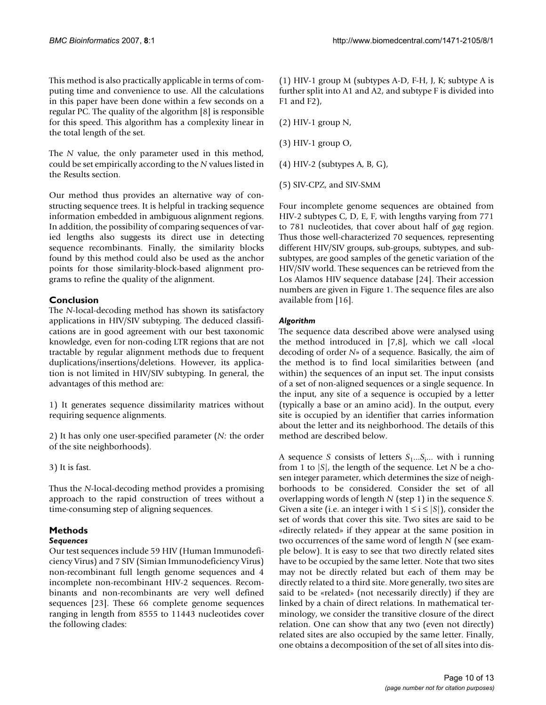This method is also practically applicable in terms of computing time and convenience to use. All the calculations in this paper have been done within a few seconds on a regular PC. The quality of the algorithm [8] is responsible for this speed. This algorithm has a complexity linear in the total length of the set.

The *N* value, the only parameter used in this method, could be set empirically according to the *N* values listed in the Results section.

Our method thus provides an alternative way of constructing sequence trees. It is helpful in tracking sequence information embedded in ambiguous alignment regions. In addition, the possibility of comparing sequences of varied lengths also suggests its direct use in detecting sequence recombinants. Finally, the similarity blocks found by this method could also be used as the anchor points for those similarity-block-based alignment programs to refine the quality of the alignment.

### **Conclusion**

The *N*-local-decoding method has shown its satisfactory applications in HIV/SIV subtyping. The deduced classifications are in good agreement with our best taxonomic knowledge, even for non-coding LTR regions that are not tractable by regular alignment methods due to frequent duplications/insertions/deletions. However, its application is not limited in HIV/SIV subtyping. In general, the advantages of this method are:

1) It generates sequence dissimilarity matrices without requiring sequence alignments.

2) It has only one user-specified parameter (*N:* the order of the site neighborhoods).

3) It is fast.

Thus the *N*-local-decoding method provides a promising approach to the rapid construction of trees without a time-consuming step of aligning sequences.

### **Methods**

### *Sequences*

Our test sequences include 59 HIV (Human Immunodeficiency Virus) and 7 SIV (Simian Immunodeficiency Virus) non-recombinant full length genome sequences and 4 incomplete non-recombinant HIV-2 sequences. Recombinants and non-recombinants are very well defined sequences [23]. These 66 complete genome sequences ranging in length from 8555 to 11443 nucleotides cover the following clades:

(1) HIV-1 group M (subtypes A-D, F-H, J, K; subtype A is further split into A1 and A2, and subtype F is divided into F1 and F2),

(2) HIV-1 group N,

(3) HIV-1 group O,

(4) HIV-2 (subtypes A, B, G),

(5) SIV-CPZ, and SIV-SMM

Four incomplete genome sequences are obtained from HIV-2 subtypes C, D, E, F, with lengths varying from 771 to 781 nucleotides, that cover about half of *gag* region. Thus those well-characterized 70 sequences, representing different HIV/SIV groups, sub-groups, subtypes, and subsubtypes, are good samples of the genetic variation of the HIV/SIV world. These sequences can be retrieved from the Los Alamos HIV sequence database [24]. Their accession numbers are given in Figure 1. The sequence files are also available from [16].

### *Algorithm*

The sequence data described above were analysed using the method introduced in [7,8], which we call «local decoding of order *N*» of a sequence. Basically, the aim of the method is to find local similarities between (and within) the sequences of an input set. The input consists of a set of non-aligned sequences or a single sequence. In the input, any site of a sequence is occupied by a letter (typically a base or an amino acid). In the output, every site is occupied by an identifier that carries information about the letter and its neighborhood. The details of this method are described below.

A sequence *S* consists of letters  $S_1...S_i...$  with i running from 1 to |*S*|, the length of the sequence. Let *N* be a chosen integer parameter, which determines the size of neighborhoods to be considered. Consider the set of all overlapping words of length *N* (step 1) in the sequence *S*. Given a site (i.e. an integer i with  $1 \le i \le |S|$ ), consider the set of words that cover this site. Two sites are said to be «directly related» if they appear at the same position in two occurrences of the same word of length *N* (see example below). It is easy to see that two directly related sites have to be occupied by the same letter. Note that two sites may not be directly related but each of them may be directly related to a third site. More generally, two sites are said to be «related» (not necessarily directly) if they are linked by a chain of direct relations. In mathematical terminology, we consider the transitive closure of the direct relation. One can show that any two (even not directly) related sites are also occupied by the same letter. Finally, one obtains a decomposition of the set of all sites into dis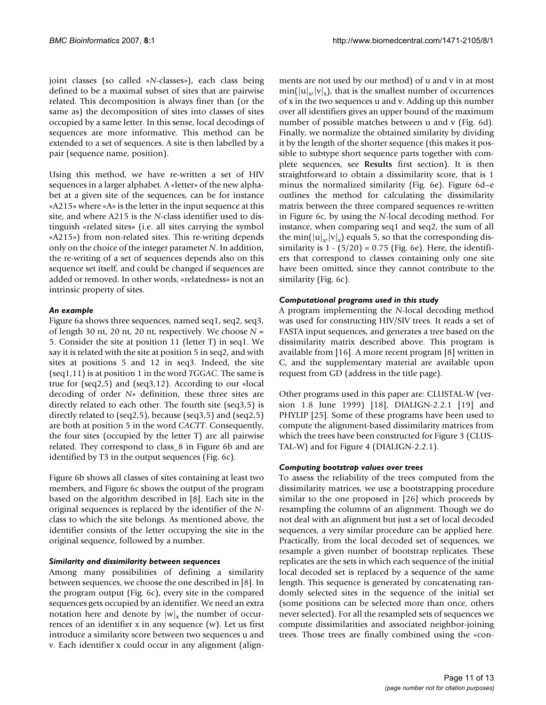joint classes (so called «*N*-classes»), each class being defined to be a maximal subset of sites that are pairwise related. This decomposition is always finer than (or the same as) the decomposition of sites into classes of sites occupied by a same letter. In this sense, local decodings of sequences are more informative. This method can be extended to a set of sequences. A site is then labelled by a pair (sequence name, position).

Using this method, we have re-written a set of HIV sequences in a larger alphabet. A «letter» of the new alphabet at a given site of the sequences, can be for instance «A215» where «A» is the letter in the input sequence at this site, and where A215 is the *N*-class identifier used to distinguish «related sites» (i.e. all sites carrying the symbol «A215») from non-related sites. This re-writing depends only on the choice of the integer parameter *N*. In addition, the re-writing of a set of sequences depends also on this sequence set itself, and could be changed if sequences are added or removed. In other words, «relatedness» is not an intrinsic property of sites.

### *An example*

Figure 6a shows three sequences, named seq1, seq2, seq3, of length 30 nt, 20 nt, 20 nt, respectively. We choose *N* = 5. Consider the site at position 11 (letter T) in seq1. We say it is related with the site at position 5 in seq2, and with sites at positions 5 and 12 in seq3. Indeed, the site (seq1,11) is at position 1 in the word *TGGAC*. The same is true for (seq2,5) and (seq3,12). According to our «local decoding of order *N*» definition, these three sites are directly related to each other. The fourth site (seq3,5) is directly related to (seq2,5), because (seq3,5) and (seq2,5) are both at position 5 in the word *CACTT*. Consequently, the four sites (occupied by the letter T) are all pairwise related. They correspond to class\_8 in Figure 6b and are identified by T3 in the output sequences (Fig. 6c).

Figure 6b shows all classes of sites containing at least two members, and Figure 6c shows the output of the program based on the algorithm described in [8]. Each site in the original sequences is replaced by the identifier of the *N*class to which the site belongs. As mentioned above, the identifier consists of the letter occupying the site in the original sequence, followed by a number.

### *Similarity and dissimilarity between sequences*

Among many possibilities of defining a similarity between sequences, we choose the one described in [8]. In the program output (Fig. 6c), every site in the compared sequences gets occupied by an identifier. We need an extra notation here and denote by  $|w|_x$  the number of occurrences of an identifier x in any sequence (w). Let us first introduce a similarity score between two sequences u and v. Each identifier x could occur in any alignment (alignments are not used by our method) of u and v in at most  $\min(|u|_{x}|v|_{x})$ , that is the smallest number of occurrences of x in the two sequences u and v. Adding up this number over all identifiers gives an upper bound of the maximum number of possible matches between u and v (Fig. 6d). Finally, we normalize the obtained similarity by dividing it by the length of the shorter sequence (this makes it possible to subtype short sequence parts together with complete sequences, see **Results** first section). It is then straightforward to obtain a dissimilarity score, that is 1 minus the normalized similarity (Fig. 6e). Figure 6d–e outlines the method for calculating the dissimilarity matrix between the three compared sequences re-written in Figure 6c, by using the *N*-local decoding method. For instance, when comparing seq1 and seq2, the sum of all the min( $|u|_{x}$ , $|v|_{x}$ ) equals 5, so that the corresponding dissimilarity is  $1 - (5/20) = 0.75$  (Fig. 6e). Here, the identifiers that correspond to classes containing only one site have been omitted, since they cannot contribute to the similarity (Fig. 6c).

### *Computational programs used in this study*

A program implementing the *N*-local decoding method was used for constructing HIV/SIV trees. It reads a set of FASTA input sequences, and generates a tree based on the dissimilarity matrix described above. This program is available from [16]. A more recent program [8] written in C, and the supplementary material are available upon request from GD (address in the title page).

Other programs used in this paper are: CLUSTAL-W (version 1.8 June 1999) [18], DIALIGN-2.2.1 [19] and PHYLIP [25]. Some of these programs have been used to compute the alignment-based dissimilarity matrices from which the trees have been constructed for Figure 3 (CLUS-TAL-W) and for Figure 4 (DIALIGN-2.2.1).

### *Computing bootstrap values over trees*

To assess the reliability of the trees computed from the dissimilarity matrices, we use a bootstrapping procedure similar to the one proposed in [26] which proceeds by resampling the columns of an alignment. Though we do not deal with an alignment but just a set of local decoded sequences, a very similar procedure can be applied here. Practically, from the local decoded set of sequences, we resample a given number of bootstrap replicates. These replicates are the sets in which each sequence of the initial local decoded set is replaced by a sequence of the same length. This sequence is generated by concatenating randomly selected sites in the sequence of the initial set (some positions can be selected more than once, others never selected). For all the resampled sets of sequences we compute dissimilarities and associated neighbor-joining trees. Those trees are finally combined using the «con-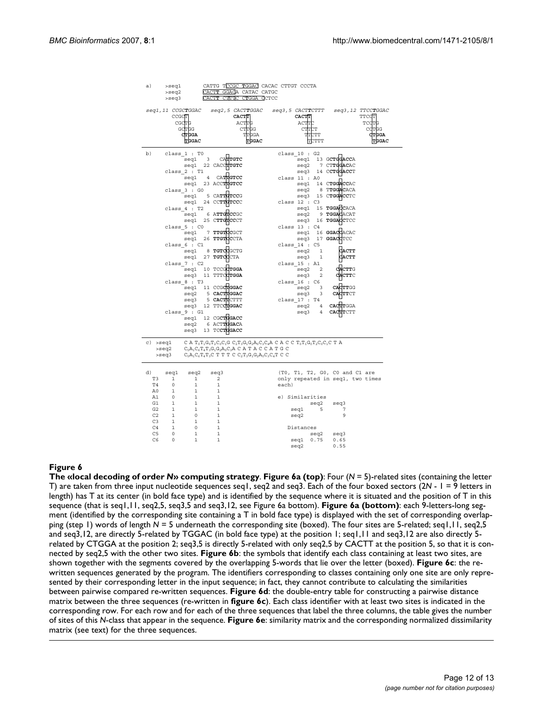| a)             | >seql                            |                                             | CATTG TCCGC TGGAC CACAC CTTGT CCCTA                                                                                                                                                                                                                                                                      |
|----------------|----------------------------------|---------------------------------------------|----------------------------------------------------------------------------------------------------------------------------------------------------------------------------------------------------------------------------------------------------------------------------------------------------------|
|                | >seq2                            | CACTT GGACA CATAC CATGC                     |                                                                                                                                                                                                                                                                                                          |
|                | $ >$ seq $3$                     | CACTI CTTTC CIGGA CCTCC                     |                                                                                                                                                                                                                                                                                                          |
|                | CCGCT                            | seq1,11 CCGCTGGAC seq2,5 CACTTGGAC<br>CACTT | seq3,5 CACTTCTTT seq3,12 TTCCTGGAC<br><b>TTCCT</b><br><b>CACTT</b>                                                                                                                                                                                                                                       |
|                | CGCTG                            |                                             | ACTTG<br>TCCTC<br>ACTTC                                                                                                                                                                                                                                                                                  |
|                | GCTGG                            |                                             | <b>CTTGG</b><br>COTGG<br><b>CTTCT</b>                                                                                                                                                                                                                                                                    |
|                | <b>CTGGA</b>                     |                                             | TTGGA<br>TTCTT<br><b>CTGGA</b>                                                                                                                                                                                                                                                                           |
|                | TGGAC                            |                                             | TGGAC<br>TGGAC<br>TCTTT                                                                                                                                                                                                                                                                                  |
| b)             | class 1 : T0                     | CATTGTC                                     | class $10 : G2$                                                                                                                                                                                                                                                                                          |
|                | seq1                             | $\overline{\mathbf{3}}$                     | seg1 13 GCTGGACCA<br>seq2 7 CTTGGACAC                                                                                                                                                                                                                                                                    |
|                |                                  | seq1 22 CACCTTGTC                           | seq3 14 CCTGGACCT                                                                                                                                                                                                                                                                                        |
|                | class 2 : T1                     | CATTGTCC<br>$\overline{4}$                  | class 11 : A0                                                                                                                                                                                                                                                                                            |
|                | seq1                             |                                             | seq1 14 CTGGACCAC                                                                                                                                                                                                                                                                                        |
|                |                                  | seq1 23 ACCTTGTCC                           | seq2 8 TTGGACACA                                                                                                                                                                                                                                                                                         |
|                | class 3 : GO<br>seq1             | 5 CATTGTCCG                                 | seq3 15 CTGGACCTC                                                                                                                                                                                                                                                                                        |
|                |                                  | seq1 24 CCTTGTCCC                           | class 12 : C3                                                                                                                                                                                                                                                                                            |
|                | class 4 : T2                     |                                             | seg1 15 TGGACACA                                                                                                                                                                                                                                                                                         |
|                |                                  | seq1 6 ATTCTCCGC                            | seq2 9 TGGACACAT                                                                                                                                                                                                                                                                                         |
|                |                                  |                                             | seq3 16 TGGACCTCC                                                                                                                                                                                                                                                                                        |
|                | class 5 : CO                     | seq1 25 CTTGTCCCT                           |                                                                                                                                                                                                                                                                                                          |
|                | seq1                             | 7 TTGTCCGCT                                 | class $13$ : $C4$<br>seq1 16 GGACCACAC                                                                                                                                                                                                                                                                   |
|                | seq1                             | 26 TTGTCCCTA                                | seq3 17 GGACCTCC                                                                                                                                                                                                                                                                                         |
|                | class 6 : C1                     |                                             | class $14$ : $C5$                                                                                                                                                                                                                                                                                        |
|                | seq1                             | 8 TGTCCGCTG                                 | <b>CACTT</b><br>seq2<br>1                                                                                                                                                                                                                                                                                |
|                | seql                             | 27 TGTCCCTA                                 | seq3 1<br><b>CACTT</b>                                                                                                                                                                                                                                                                                   |
|                | class $7: C2$                    |                                             | class 15 : A1                                                                                                                                                                                                                                                                                            |
|                |                                  | seq1 10 TCCGCTGGA                           | <b>CACTTG</b><br>seq2<br>2                                                                                                                                                                                                                                                                               |
|                | seq3                             | 11 TTTCCTGGA                                | seq3<br>2<br>CACTTC                                                                                                                                                                                                                                                                                      |
|                | class 8 : T3                     |                                             | class 16 : C6                                                                                                                                                                                                                                                                                            |
|                |                                  | seq1 11 CCGCTGGAC                           | CACTTGG<br>seq2<br>3                                                                                                                                                                                                                                                                                     |
|                | seq2                             | 5 CACTTGGAC                                 | seq3<br>3<br>CACTTCT                                                                                                                                                                                                                                                                                     |
|                | seq3                             | 5 CACTTCTTT                                 | class 17 : T4                                                                                                                                                                                                                                                                                            |
|                |                                  | seq3 12 TTCCTGGAC                           | <b>CACTTGGA</b><br>$seq2 \qquad 4$                                                                                                                                                                                                                                                                       |
|                | class 9 : G1                     |                                             | seq3<br>4<br>CACTTCTT                                                                                                                                                                                                                                                                                    |
|                |                                  | seq1 12 CGCTGGACC                           |                                                                                                                                                                                                                                                                                                          |
|                |                                  | seq2 6 ACTTGGACA                            |                                                                                                                                                                                                                                                                                                          |
|                |                                  | seq3 13 TCCTGGACC                           |                                                                                                                                                                                                                                                                                                          |
|                |                                  |                                             |                                                                                                                                                                                                                                                                                                          |
| c) >seql       |                                  |                                             | CAT <sub>0</sub> T <sub>1</sub> G <sub>0</sub> T <sub>2</sub> C <sub>0</sub> C <sub>1</sub> GC <sub>2</sub> T <sub>3</sub> G <sub>1</sub> G <sub>2</sub> A <sub>0</sub> C <sub>3</sub> C <sub>4</sub> ACACCT <sub>0</sub> T <sub>1</sub> G <sub>0</sub> T <sub>2</sub> C <sub>0</sub> C <sub>1</sub> CTA |
|                | >seq2                            |                                             | $C_5A_1C_6T_4T_3G_1G_2A_0C_3A$ C A T A C C A T G C                                                                                                                                                                                                                                                       |
|                | >seq3                            |                                             | $C_5A_1C_6T_4T_3C$ T T T C $C_2T_3G_1G_2A_0C_3C_4T$ C C                                                                                                                                                                                                                                                  |
|                |                                  |                                             |                                                                                                                                                                                                                                                                                                          |
|                |                                  |                                             |                                                                                                                                                                                                                                                                                                          |
| d)<br>T3       | seq1<br>seq2<br>$\mathbf{1}$     | seq3<br>$\mathbf{1}$                        | (T0, T1, T2, G0, C0 and C1 are<br>only repeated in seq1, two times                                                                                                                                                                                                                                       |
| T4             | $\circ$                          | 2<br>$\mathbf{1}$                           |                                                                                                                                                                                                                                                                                                          |
|                |                                  | 1                                           | each)                                                                                                                                                                                                                                                                                                    |
| A0             | 1<br>$\mathbb O$<br>$\mathbf{1}$ | 1<br>1                                      | e) Similarities                                                                                                                                                                                                                                                                                          |
| A1<br>G1       | $\mathbf{1}$                     | 1<br>$\mathbf{1}$<br><sup>1</sup>           |                                                                                                                                                                                                                                                                                                          |
| G2             | $\mathbf{1}$                     | $\mathbf{1}$<br>$1\,$                       | seq2<br>seq3<br>$-5$<br>7                                                                                                                                                                                                                                                                                |
| C2             | $\circ$<br>$\mathbf{1}$          | $\mathbf{1}$                                | seq1<br>9                                                                                                                                                                                                                                                                                                |
| C <sub>3</sub> | $\mathbf{1}$<br>$\mathbf{1}$     | <sup>1</sup>                                | seq2                                                                                                                                                                                                                                                                                                     |
| C4             | $\mathbf{1}$<br>$\circ$          | $\mathbf{1}$                                | Distances                                                                                                                                                                                                                                                                                                |
| C <sub>5</sub> | $\circ$                          | $\mathbf{1}$<br>$1\,$                       | seq2 seq3                                                                                                                                                                                                                                                                                                |
| C <sub>6</sub> | $\mathbf 1$<br>$\overline{0}$    | $\mathbf{1}$                                | 0.75<br>0.65<br>seq1                                                                                                                                                                                                                                                                                     |
|                |                                  |                                             | 0.55<br>sea2                                                                                                                                                                                                                                                                                             |

### **Figure 6**

**The «local decoding of order** *N***» computing strategy**. **Figure 6a (top)**: Four (*N* = 5)-related sites (containing the letter T) are taken from three input nucleotide sequences seq1, seq2 and seq3. Each of the four boxed sectors (2*N* - 1 = 9 letters in length) has T at its center (in bold face type) and is identified by the sequence where it is situated and the position of T in this sequence (that is seq1,11, seq2,5, seq3,5 and seq3,12, see Figure 6a bottom). **Figure 6a (bottom)**: each 9-letters-long segment (identified by the corresponding site containing a T in bold face type) is displayed with the set of corresponding overlapping (step 1) words of length  $N = 5$  underneath the corresponding site (boxed). The four sites are 5-related; seq1,11, seq2,5 and seq3,12, are directly 5-related by TGGAC (in bold face type) at the position 1; seq1,11 and seq3,12 are also directly 5related by CTGGA at the position 2; seq3,5 is directly 5-related with only seq2,5 by CACTT at the position 5, so that it is connected by seq2,5 with the other two sites. **Figure 6b**: the symbols that identify each class containing at least two sites, are shown together with the segments covered by the overlapping 5-words that lie over the letter (boxed). **Figure 6c**: the rewritten sequences generated by the program. The identifiers corresponding to classes containing only one site are only represented by their corresponding letter in the input sequence; in fact, they cannot contribute to calculating the similarities between pairwise compared re-written sequences. **Figure 6d**: the double-entry table for constructing a pairwise distance matrix between the three sequences (re-written in **figure 6c**). Each class identifier with at least two sites is indicated in the corresponding row. For each row and for each of the three sequences that label the three columns, the table gives the number of sites of this *N*-class that appear in the sequence. **Figure 6e**: similarity matrix and the corresponding normalized dissimilarity matrix (see text) for the three sequences.